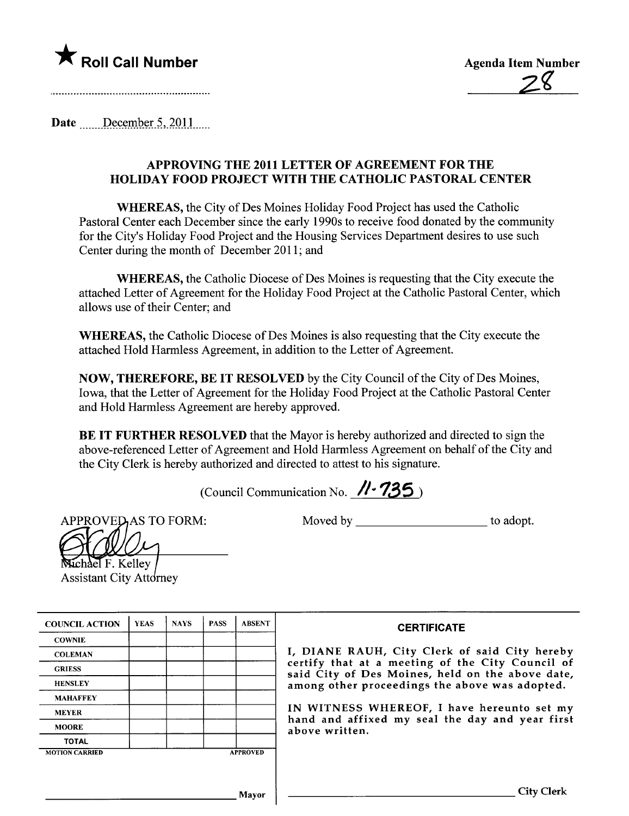

Date  $\frac{\text{December 5, 2011}}{\text{December 5, 2011}}$ 

## APPROVING THE 2011 LETTER OF AGREEMENT FOR THE HOLIDAY FOOD PROJECT WITH THE CA THOLIC PASTORAL CENTER

WHEREAS, the City of Des Moines Holiday Food Project has used the Catholic Pastoral Center each December since the early 1990s to receive food donated by the community for the City's Holiday Food Project and the Housing Services Deparment desires to use such Center during the month of December 2011; and

WHEREAS, the Catholic Diocese of Des Moines is requesting that the City execute the attached Letter of Agreement for the Holiday Food Project at the Catholic Pastoral Center, which allows use of their Center; and

WHEREAS, the Catholic Diocese of Des Moines is also requesting that the City execute the attached Hold Harmless Agreement, in addition to the Letter of Agreement.

NOW, THEREFORE, BE IT RESOLVED by the City Council of the City of Des Moines, Iowa, that the Letter of Agreement for the Holiday Food Project at the Catholic Pastoral Center and Hold Harmless Agreement are hereby approved.

BE IT FURTHER RESOLVED that the Mayor is hereby authorized and directed to sign the above-referenced Letter of Agreement and Hold Harmless Agreement on behalf of the City and the City Clerk is hereby authorized and directed to attest to his signature.

(Council Communication No.  $\cancel{\textit{11}}$ . 735)

APPROVED, AS TO FORM:

Moved by \_\_\_\_\_\_\_\_\_\_\_\_\_\_\_\_\_\_\_\_\_\_\_\_\_\_\_\_\_ to adopt.

| Kelley<br>н.<br>chael |
|-----------------------|

**Assistant City Attorney** 

| <b>COUNCIL ACTION</b> | <b>YEAS</b> | <b>NAYS</b> | <b>PASS</b> | <b>ABSENT</b>   | <b>CERTIFICATE</b>                                                                                   |
|-----------------------|-------------|-------------|-------------|-----------------|------------------------------------------------------------------------------------------------------|
| <b>COWNIE</b>         |             |             |             |                 |                                                                                                      |
| <b>COLEMAN</b>        |             |             |             |                 | I, DIANE RAUH, City Clerk of said City hereby                                                        |
| <b>GRIESS</b>         |             |             |             |                 | certify that at a meeting of the City Council of<br>said City of Des Moines, held on the above date, |
| <b>HENSLEY</b>        |             |             |             |                 | among other proceedings the above was adopted.                                                       |
| <b>MAHAFFEY</b>       |             |             |             |                 |                                                                                                      |
| <b>MEYER</b>          |             |             |             |                 | IN WITNESS WHEREOF, I have hereunto set my                                                           |
| <b>MOORE</b>          |             |             |             |                 | hand and affixed my seal the day and year first<br>above written.                                    |
| <b>TOTAL</b>          |             |             |             |                 |                                                                                                      |
| <b>MOTION CARRIED</b> |             |             |             | <b>APPROVED</b> |                                                                                                      |
|                       |             |             |             |                 |                                                                                                      |
|                       |             |             |             |                 |                                                                                                      |
|                       |             |             |             | Mavor           | City Clerk                                                                                           |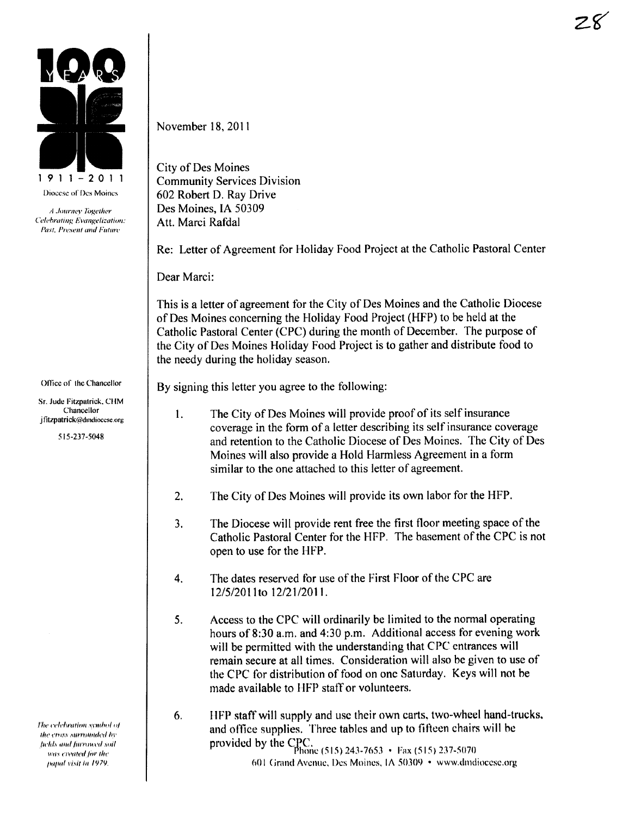

The celebration symbol of the cross surrounded by fields and furrowed soil was created for the papal visit in 1979.

## November 18, 2011

**City of Des Moines Community Services Division** 602 Robert D. Ray Drive Des Moines, IA 50309 Att. Marci Rafdal

Re: Letter of Agreement for Holiday Food Project at the Catholic Pastoral Center

Dear Marci:

This is a letter of agreement for the City of Des Moines and the Catholic Diocese of Des Moines concerning the Holiday Food Project (HFP) to be held at the Catholic Pastoral Center (CPC) during the month of December. The purpose of the City of Des Moines Holiday Food Project is to gather and distribute food to the needy during the holiday season.

By signing this letter you agree to the following:

- The City of Des Moines will provide proof of its self insurance  $\mathbf{1}$ . coverage in the form of a letter describing its self insurance coverage and retention to the Catholic Diocese of Des Moines. The City of Des Moines will also provide a Hold Harmless Agreement in a form similar to the one attached to this letter of agreement.
- The City of Des Moines will provide its own labor for the HFP.  $2.$
- The Diocese will provide rent free the first floor meeting space of the  $3<sub>1</sub>$ Catholic Pastoral Center for the HFP. The basement of the CPC is not open to use for the HFP.
- The dates reserved for use of the First Floor of the CPC are 4. 12/5/2011 to 12/21/2011.
- 5. Access to the CPC will ordinarily be limited to the normal operating hours of 8:30 a.m. and 4:30 p.m. Additional access for evening work will be permitted with the understanding that CPC entrances will remain secure at all times. Consideration will also be given to use of the CPC for distribution of food on one Saturday. Keys will not be made available to HFP staff or volunteers.
- HFP staff will supply and use their own carts, two-wheel hand-trucks, 6. and office supplies. Three tables and up to fifteen chairs will be provided by the CPC,<br>phone (515) 243-7653 • Fax (515) 237-5070 601 Grand Avenue, Des Moines, IA 50309 • www.dmdiocese.org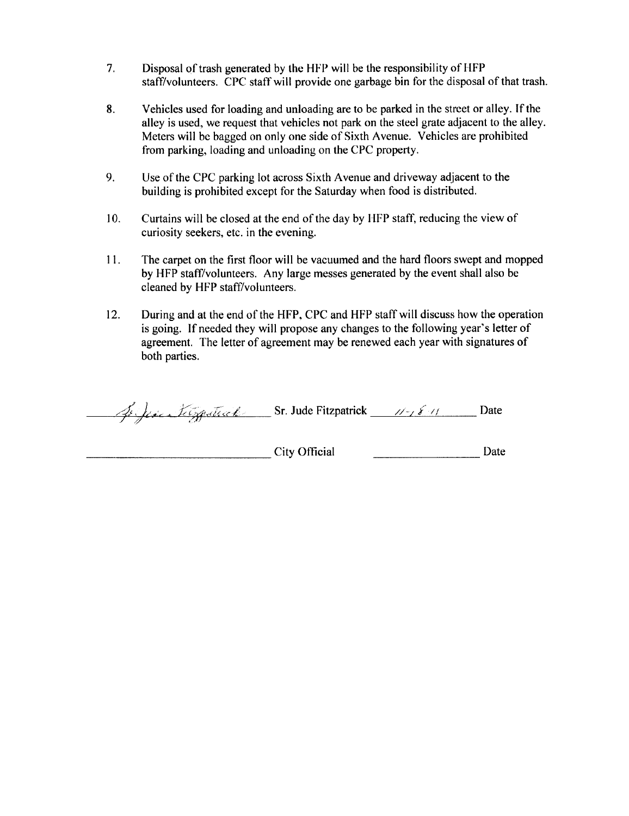- 7, Disposal of trash generated by the HFP will be the responsibility of HFP staff/volunteers. CPC staff will provide one garbage bin for the disposal of that trash.
- 8. Vehicles used for loading and unloading are to be parked in the street or alley. If the alley is used, we request that vehicles not park on the steel grate adjacent to the alley. Meters will be bagged on only one side of Sixth Avenue. Vehicles are prohibited from parking, loading and unloading on the CPC property.
- 9. Use of the CPC parking lot across Sixth Avenue and driveway adjacent to the building is prohibited except for the Saturday when food is distributed.
- 10. Curtains will be closed at the end of the day by HFP staff, reducing the view of curiosity seekers, etc. in the evening.
- 11. The carpet on the first floor will be vacuumed and the hard floors swept and mopped by HFP staff/volunteers. Any large messes generated by the event shall also be cleaned by HFP staff/volunteers.
- 12. During and at the end of the HFP, CPC and HFP staff will discuss how the operation is going. If needed they will propose any changes to the following year's letter of agreement. The letter of agreement may be renewed each year with signatures of both parties.

4. je i Lészpestreck Sr. Jude Fitzpatrick 11-18-11 Date

City Official <u>Date</u>